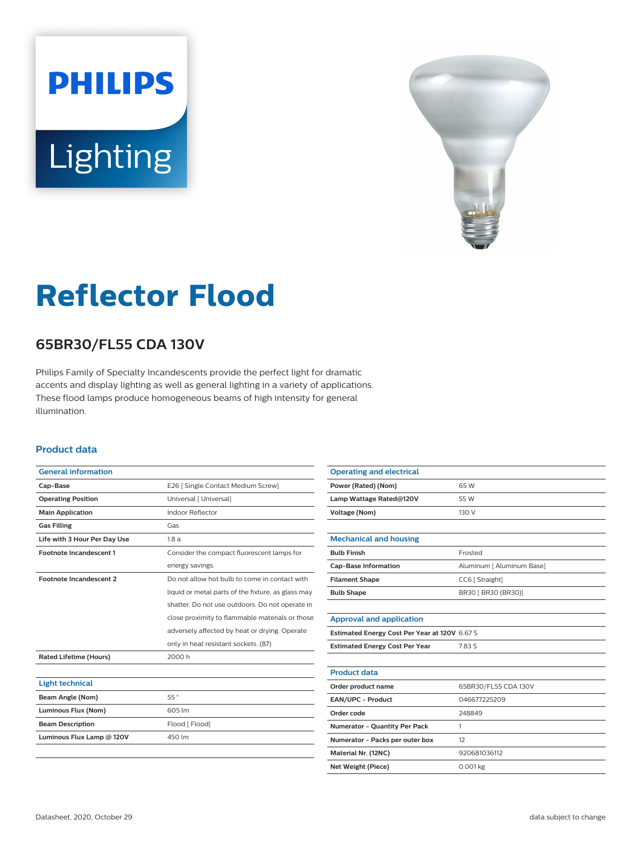# **PHILIPS** Lighting



## **Reflector Flood**

### **65BR30/FL55 CDA 130V**

Philips Family of Specialty Incandescents provide the perfect light for dramatic accents and display lighting as well as general lighting in a variety of applications. These flood lamps produce homogeneous beams of high intensity for general illumination.

#### **Product data**

| <b>General information</b>     |                                                    |
|--------------------------------|----------------------------------------------------|
| Cap-Base                       | E26   Single Contact Medium Screw]                 |
| <b>Operating Position</b>      | Universal [ Universal]                             |
| <b>Main Application</b>        | Indoor Reflector                                   |
| <b>Gas Filling</b>             | Gas                                                |
| Life with 3 Hour Per Day Use   | 1.8a                                               |
| <b>Footnote Incandescent 1</b> | Consider the compact fluorescent lamps for         |
|                                | energy savings.                                    |
| <b>Footnote Incandescent 2</b> | Do not allow hot bulb to come in contact with      |
|                                | liquid or metal parts of the fixture, as glass may |
|                                | shatter. Do not use outdoors. Do not operate in    |
|                                | close proximity to flammable materials or those    |
|                                | adversely affected by heat or drying. Operate      |
|                                | only in heat resistant sockets. (87)               |
| <b>Rated Lifetime (Hours)</b>  | 2000 h                                             |
|                                |                                                    |
| <b>Light technical</b>         |                                                    |
| Beam Angle (Nom)               | 55°                                                |
| Luminous Flux (Nom)            | 605 lm                                             |
| <b>Beam Description</b>        | Flood [ Flood]                                     |
| Luminous Flux Lamp @ 120V      | 450 lm                                             |
|                                |                                                    |

| <b>Operating and electrical</b>                |                           |
|------------------------------------------------|---------------------------|
| Power (Rated) (Nom)                            | 65 W                      |
| Lamp Wattage Rated@120V                        | 55 W                      |
| <b>Voltage (Nom)</b>                           | 130 V                     |
|                                                |                           |
| <b>Mechanical and housing</b>                  |                           |
| <b>Bulb Finish</b>                             | Frosted                   |
| <b>Cap-Base Information</b>                    | Aluminum [ Aluminum Base] |
| <b>Filament Shape</b>                          | CC6 [ Straight]           |
| <b>Bulb Shape</b>                              | BR30 [ BR30 (BR30)]       |
|                                                |                           |
| <b>Approval and application</b>                |                           |
| Estimated Energy Cost Per Year at 120V 6.67 \$ |                           |
| <b>Estimated Energy Cost Per Year</b>          | 7.83 S                    |
|                                                |                           |
| <b>Product data</b>                            |                           |
| Order product name                             | 65BR30/FL55 CDA 130V      |
| EAN/UPC - Product                              | 046677225209              |
| Order code                                     | 248849                    |
| Numerator - Quantity Per Pack                  | 1                         |
| Numerator - Packs per outer box                | 12                        |
| Material Nr. (12NC)                            | 920681036112              |
| <b>Net Weight (Piece)</b>                      | 0.001 kg                  |
|                                                |                           |